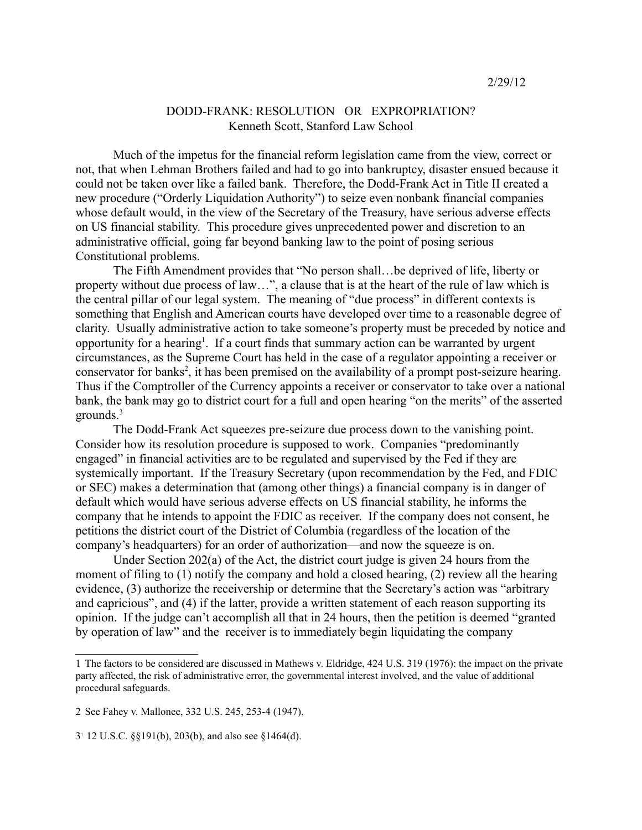## DODD-FRANK: RESOLUTION OR EXPROPRIATION? Kenneth Scott, Stanford Law School

Much of the impetus for the financial reform legislation came from the view, correct or not, that when Lehman Brothers failed and had to go into bankruptcy, disaster ensued because it could not be taken over like a failed bank. Therefore, the Dodd-Frank Act in Title II created a new procedure ("Orderly Liquidation Authority") to seize even nonbank financial companies whose default would, in the view of the Secretary of the Treasury, have serious adverse effects on US financial stability. This procedure gives unprecedented power and discretion to an administrative official, going far beyond banking law to the point of posing serious Constitutional problems.

The Fifth Amendment provides that "No person shall…be deprived of life, liberty or property without due process of law…", a clause that is at the heart of the rule of law which is the central pillar of our legal system. The meaning of "due process" in different contexts is something that English and American courts have developed over time to a reasonable degree of clarity. Usually administrative action to take someone's property must be preceded by notice and opportunity for a hearing<sup>1</sup>. If a court finds that summary action can be warranted by urgent circumstances, as the Supreme Court has held in the case of a regulator appointing a receiver or conservator for banks<sup>2</sup>, it has been premised on the availability of a prompt post-seizure hearing. Thus if the Comptroller of the Currency appoints a receiver or conservator to take over a national bank, the bank may go to district court for a full and open hearing "on the merits" of the asserted grounds.<sup>3</sup>

The Dodd-Frank Act squeezes pre-seizure due process down to the vanishing point. Consider how its resolution procedure is supposed to work. Companies "predominantly engaged" in financial activities are to be regulated and supervised by the Fed if they are systemically important. If the Treasury Secretary (upon recommendation by the Fed, and FDIC or SEC) makes a determination that (among other things) a financial company is in danger of default which would have serious adverse effects on US financial stability, he informs the company that he intends to appoint the FDIC as receiver. If the company does not consent, he petitions the district court of the District of Columbia (regardless of the location of the company's headquarters) for an order of authorization—and now the squeeze is on.

Under Section 202(a) of the Act, the district court judge is given 24 hours from the moment of filing to (1) notify the company and hold a closed hearing, (2) review all the hearing evidence, (3) authorize the receivership or determine that the Secretary's action was "arbitrary and capricious", and (4) if the latter, provide a written statement of each reason supporting its opinion. If the judge can't accomplish all that in 24 hours, then the petition is deemed "granted by operation of law" and the receiver is to immediately begin liquidating the company

<sup>1</sup> The factors to be considered are discussed in Mathews v. Eldridge, 424 U.S. 319 (1976): the impact on the private party affected, the risk of administrative error, the governmental interest involved, and the value of additional procedural safeguards.

<sup>2</sup> See Fahey v. Mallonee, 332 U.S. 245, 253-4 (1947).

<sup>3</sup>- 12 U.S.C. §§191(b), 203(b), and also see §1464(d).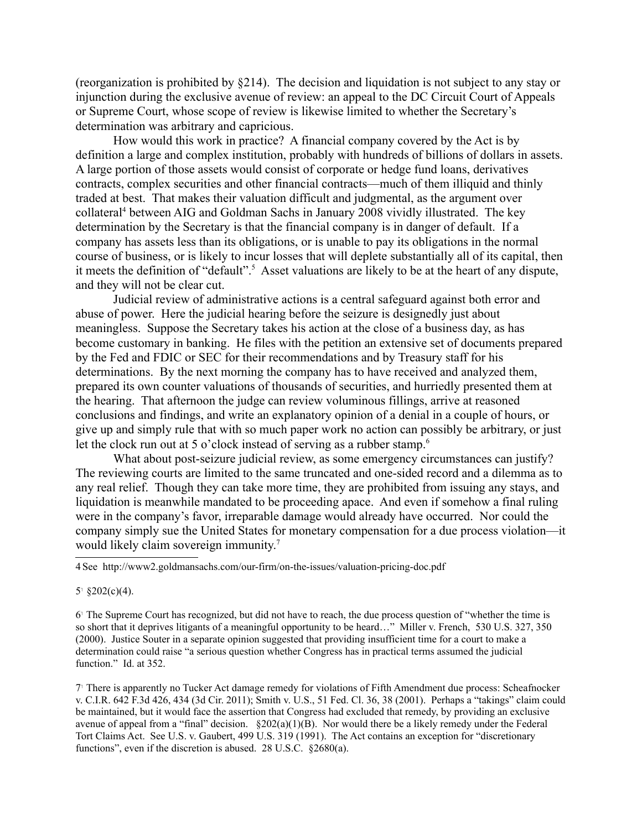(reorganization is prohibited by §214). The decision and liquidation is not subject to any stay or injunction during the exclusive avenue of review: an appeal to the DC Circuit Court of Appeals or Supreme Court, whose scope of review is likewise limited to whether the Secretary's determination was arbitrary and capricious.

How would this work in practice? A financial company covered by the Act is by definition a large and complex institution, probably with hundreds of billions of dollars in assets. A large portion of those assets would consist of corporate or hedge fund loans, derivatives contracts, complex securities and other financial contracts—much of them illiquid and thinly traded at best. That makes their valuation difficult and judgmental, as the argument over collateral<sup>4</sup> between AIG and Goldman Sachs in January 2008 vividly illustrated. The key determination by the Secretary is that the financial company is in danger of default. If a company has assets less than its obligations, or is unable to pay its obligations in the normal course of business, or is likely to incur losses that will deplete substantially all of its capital, then it meets the definition of "default".<sup>5</sup> Asset valuations are likely to be at the heart of any dispute, and they will not be clear cut.

Judicial review of administrative actions is a central safeguard against both error and abuse of power. Here the judicial hearing before the seizure is designedly just about meaningless. Suppose the Secretary takes his action at the close of a business day, as has become customary in banking. He files with the petition an extensive set of documents prepared by the Fed and FDIC or SEC for their recommendations and by Treasury staff for his determinations. By the next morning the company has to have received and analyzed them, prepared its own counter valuations of thousands of securities, and hurriedly presented them at the hearing. That afternoon the judge can review voluminous fillings, arrive at reasoned conclusions and findings, and write an explanatory opinion of a denial in a couple of hours, or give up and simply rule that with so much paper work no action can possibly be arbitrary, or just let the clock run out at 5 o'clock instead of serving as a rubber stamp.<sup>6</sup>

What about post-seizure judicial review, as some emergency circumstances can justify? The reviewing courts are limited to the same truncated and one-sided record and a dilemma as to any real relief. Though they can take more time, they are prohibited from issuing any stays, and liquidation is meanwhile mandated to be proceeding apace. And even if somehow a final ruling were in the company's favor, irreparable damage would already have occurred. Nor could the company simply sue the United States for monetary compensation for a due process violation—it would likely claim sovereign immunity.<sup>7</sup>

4 See http://www2.goldmansachs.com/our-firm/on-the-issues/valuation-pricing-doc.pdf

 $5^{\circ}$  §202(c)(4).

6- The Supreme Court has recognized, but did not have to reach, the due process question of "whether the time is so short that it deprives litigants of a meaningful opportunity to be heard…" Miller v. French, 530 U.S. 327, 350 (2000). Justice Souter in a separate opinion suggested that providing insufficient time for a court to make a determination could raise "a serious question whether Congress has in practical terms assumed the judicial function." Id. at 352.

7- There is apparently no Tucker Act damage remedy for violations of Fifth Amendment due process: Scheafnocker v. C.I.R. 642 F.3d 426, 434 (3d Cir. 2011); Smith v. U.S., 51 Fed. Cl. 36, 38 (2001). Perhaps a "takings" claim could be maintained, but it would face the assertion that Congress had excluded that remedy, by providing an exclusive avenue of appeal from a "final" decision.  $\S 202(a)(1)(B)$ . Nor would there be a likely remedy under the Federal Tort Claims Act. See U.S. v. Gaubert, 499 U.S. 319 (1991). The Act contains an exception for "discretionary functions", even if the discretion is abused. 28 U.S.C. §2680(a).